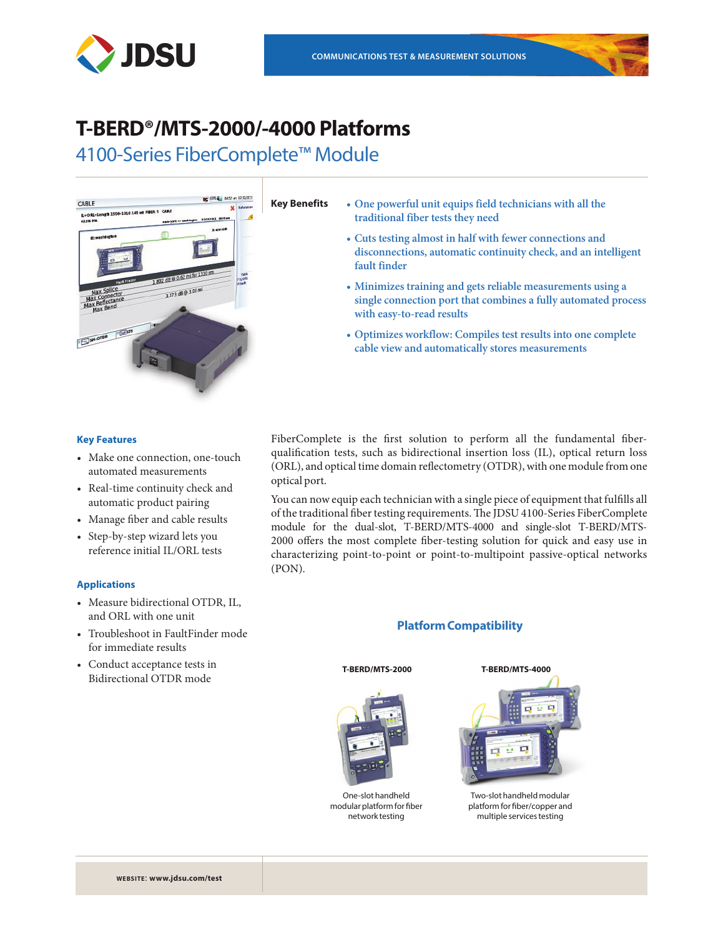

## **T-BERD®/MTS-2000/-4000 Platforms**

4100-Series FiberComplete™ Module



- **Key Benefits • One powerful unit equips field technicians with all the traditional fiber tests they need**
	- **• Cuts testing almost in half with fewer connections and disconnections, automatic continuity check, and an intelligent fault finder**
	- **• Minimizes training and gets reliable measurements using a single connection port that combines a fully automated process with easy-to-read results**
	- **• Optimizes workflow: Compiles test results into one complete cable view and automatically stores measurements**

#### **Key Features**

- Make one connection, one-touch automated measurements
- Real-time continuity check and automatic product pairing
- Manage fiber and cable results
- Step-by-step wizard lets you reference initial IL/ORL tests

#### **Applications**

- Measure bidirectional OTDR, IL, and ORL with one unit
- Troubleshoot in FaultFinder mode for immediate results
- Conduct acceptance tests in Bidirectional OTDR mode

FiberComplete is the first solution to perform all the fundamental fiberqualification tests, such as bidirectional insertion loss (IL), optical return loss (ORL), and optical time domain reflectometry (OTDR), with one module from one optical port.

You can now equip each technician with a single piece of equipment that fulfills all of the traditional fiber testing requirements. The JDSU 4100-Series FiberComplete module for the dual-slot, T-BERD/MTS-4000 and single-slot T-BERD/MTS-2000 offers the most complete fiber-testing solution for quick and easy use in characterizing point-to-point or point-to-multipoint passive-optical networks (PON).

### **Platform Compatibility**



One-slot handheld modular platform for fiber network testing





Two-slot handheld modular platform for fiber/copper and multiple services testing